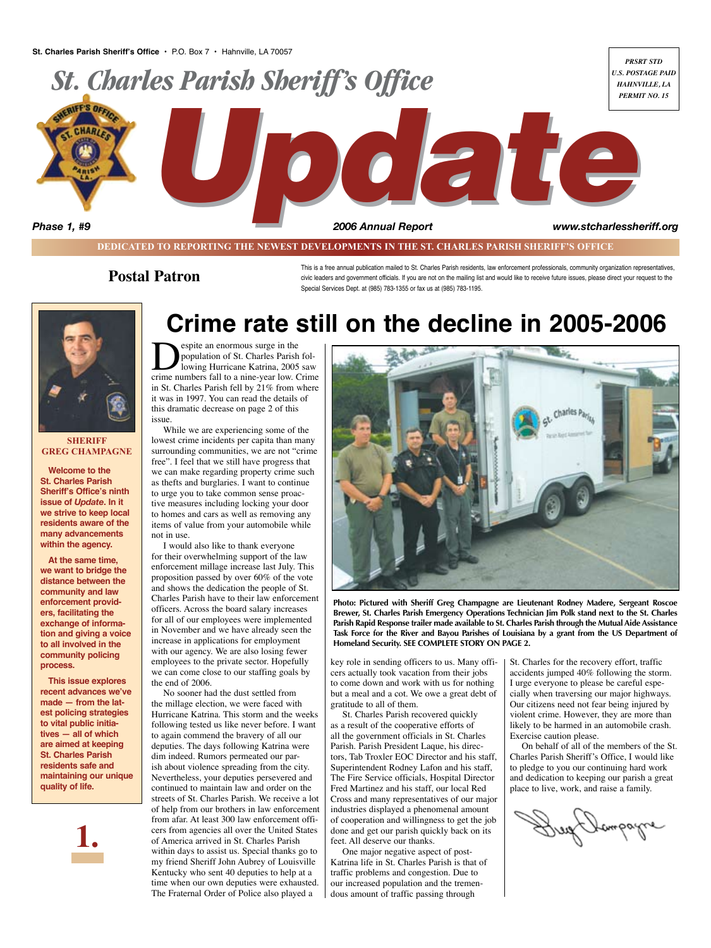

**DEDICATED TO REPORTING THE NEWEST DEVELOPMENTS IN THE ST. CHARLES PARISH SHERIFF'S OFFICE**

#### **Postal Patron**

This is a free annual publication mailed to St. Charles Parish residents, law enforcement professionals, community organization representatives, civic leaders and government officials. If you are not on the mailing list and would like to receive future issues, please direct your request to the Special Services Dept. at (985) 783-1355 or fax us at (985) 783-1195.



#### **SHERIFF Greg Champagne**

**Welcome to the St. Charles Parish Sheriff's Office's ninth issue of** *Update***. In it we strive to keep local residents aware of the many advancements within the agency.** 

**At the same time, we want to bridge the distance between the community and law enforcement providers, facilitating the exchange of information and giving a voice to all involved in the community policing process.**

**This issue explores recent advances we've made — from the latest policing strategies to vital public initiatives — all of which are aimed at keeping St. Charles Parish residents safe and maintaining our unique quality of life.**



## **Crime rate still on the decline in 2005-2006**

**Despite an enormous surge in the population of St. Charles Parish following Hurricane Katrina, 2005 saw crime numbers fall to a nine-year low. Crime** population of St. Charles Parish following Hurricane Katrina, 2005 saw in St. Charles Parish fell by 21% from where it was in 1997. You can read the details of this dramatic decrease on page 2 of this issue.

While we are experiencing some of the lowest crime incidents per capita than many surrounding communities, we are not "crime free". I feel that we still have progress that we can make regarding property crime such as thefts and burglaries. I want to continue to urge you to take common sense proactive measures including locking your door to homes and cars as well as removing any items of value from your automobile while not in use.

I would also like to thank everyone for their overwhelming support of the law enforcement millage increase last July. This proposition passed by over 60% of the vote and shows the dedication the people of St. Charles Parish have to their law enforcement officers. Across the board salary increases for all of our employees were implemented in November and we have already seen the increase in applications for employment with our agency. We are also losing fewer employees to the private sector. Hopefully we can come close to our staffing goals by the end of 2006.

No sooner had the dust settled from the millage election, we were faced with Hurricane Katrina. This storm and the weeks following tested us like never before. I want to again commend the bravery of all our deputies. The days following Katrina were dim indeed. Rumors permeated our parish about violence spreading from the city. Nevertheless, your deputies persevered and continued to maintain law and order on the streets of St. Charles Parish. We receive a lot of help from our brothers in law enforcement from afar. At least 300 law enforcement officers from agencies all over the United States of America arrived in St. Charles Parish within days to assist us. Special thanks go to my friend Sheriff John Aubrey of Louisville Kentucky who sent 40 deputies to help at a time when our own deputies were exhausted. The Fraternal Order of Police also played a



**Photo: Pictured with Sheriff Greg Champagne are Lieutenant Rodney Madere, Sergeant Roscoe Brewer, St. Charles Parish Emergency Operations Technician Jim Polk stand next to the St. Charles Parish Rapid Response trailer made available to St. Charles Parish through the Mutual Aide Assistance Task Force for the River and Bayou Parishes of Louisiana by a grant from the US Department of Homeland Security. SEE COMPLETE STORY ON PAGE 2.**

key role in sending officers to us. Many officers actually took vacation from their jobs to come down and work with us for nothing but a meal and a cot. We owe a great debt of gratitude to all of them.

St. Charles Parish recovered quickly as a result of the cooperative efforts of all the government officials in St. Charles Parish. Parish President Laque, his directors, Tab Troxler EOC Director and his staff, Superintendent Rodney Lafon and his staff, The Fire Service officials, Hospital Director Fred Martinez and his staff, our local Red Cross and many representatives of our major industries displayed a phenomenal amount of cooperation and willingness to get the job done and get our parish quickly back on its feet. All deserve our thanks.

One major negative aspect of post-Katrina life in St. Charles Parish is that of traffic problems and congestion. Due to our increased population and the tremendous amount of traffic passing through

St. Charles for the recovery effort, traffic accidents jumped 40% following the storm. I urge everyone to please be careful especially when traversing our major highways. Our citizens need not fear being injured by violent crime. However, they are more than likely to be harmed in an automobile crash. Exercise caution please.

On behalf of all of the members of the St. Charles Parish Sheriff's Office, I would like to pledge to you our continuing hard work and dedication to keeping our parish a great place to live, work, and raise a family.

Kampagne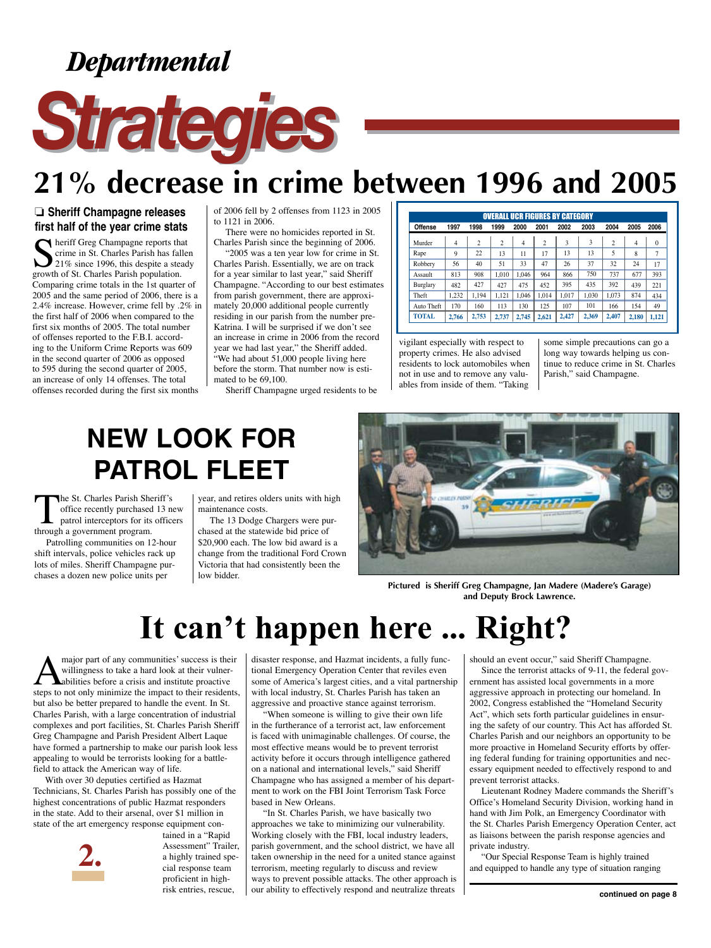*Departmental*



## **21% decrease in crime between 1996 and 2005**

#### ❏ **Sheriff Champagne releases first half of the year crime stats**

 $\bigcap$  heriff Greg Champagne reports that crime in St. Charles Parish has fallen 21% since 1996, this despite a steady growth of St. Charles Parish population. Comparing crime totals in the 1st quarter of 2005 and the same period of 2006, there is a 2.4% increase. However, crime fell by .2% in the first half of 2006 when compared to the first six months of 2005. The total number of offenses reported to the F.B.I. according to the Uniform Crime Reports was 609 in the second quarter of 2006 as opposed to 595 during the second quarter of 2005, an increase of only 14 offenses. The total offenses recorded during the first six months

of 2006 fell by 2 offenses from 1123 in 2005 to 1121 in 2006.

There were no homicides reported in St. Charles Parish since the beginning of 2006.

"2005 was a ten year low for crime in St. Charles Parish. Essentially, we are on track for a year similar to last year," said Sheriff Champagne. "According to our best estimates from parish government, there are approximately 20,000 additional people currently residing in our parish from the number pre-Katrina. I will be surprised if we don't see an increase in crime in 2006 from the record year we had last year," the Sheriff added. "We had about 51,000 people living here before the storm. That number now is estimated to be 69,100.

Sheriff Champagne urged residents to be

| <b>OVERALL UCR FIGURES BY CATEGORY</b> |       |                |                |       |                |       |       |                |                |          |  |  |
|----------------------------------------|-------|----------------|----------------|-------|----------------|-------|-------|----------------|----------------|----------|--|--|
| <b>Offense</b>                         | 1997  | 1998           | 1999           | 2000  | 2001           | 2002  | 2003  | 2004           | 2005           | 2006     |  |  |
| Murder                                 | 4     | $\overline{2}$ | $\overline{c}$ | 4     | $\overline{c}$ | 3     | 3     | $\overline{c}$ | $\overline{4}$ | $\theta$ |  |  |
| Rape                                   | 9     | 22             | 13             | 11    | 17             | 13    | 13    | 5              | 8              | 7        |  |  |
| Robbery                                | 56    | 40             | 51             | 33    | 47             | 26    | 37    | 32             | 24             | 17       |  |  |
| Assault                                | 813   | 908            | 1.010          | 1.046 | 964            | 866   | 750   | 737            | 677            | 393      |  |  |
| Burglary                               | 482   | 427            | 427            | 475   | 452            | 395   | 435   | 392            | 439            | 221      |  |  |
| Theft                                  | 1.232 | 1,194          | 1.121          | 1.046 | 1.014          | 1.017 | 1.030 | 1.073          | 874            | 434      |  |  |
| Auto Theft                             | 170   | 160            | 113            | 130   | 125            | 107   | 101   | 166            | 154            | 49       |  |  |
| <b>TOTAL</b>                           | 2,766 | 2,753          | 2,737          | 2,745 | 2,621          | 2,427 | 2,369 | 2,407          | 2,180          | 1.121    |  |  |

vigilant especially with respect to property crimes. He also advised residents to lock automobiles when not in use and to remove any valuables from inside of them. "Taking

some simple precautions can go a long way towards helping us continue to reduce crime in St. Charles Parish," said Champagne.

## **New look for patrol fleet**

The St. Charles Parish Sheriff's<br>
office recently purchased 13 ne<br>
patrol interceptors for its office<br>
through a government program. office recently purchased 13 new patrol interceptors for its officers through a government program.

Patrolling communities on 12-hour shift intervals, police vehicles rack up lots of miles. Sheriff Champagne purchases a dozen new police units per

year, and retires olders units with high maintenance costs.

The 13 Dodge Chargers were purchased at the statewide bid price of \$20,900 each. The low bid award is a change from the traditional Ford Crown Victoria that had consistently been the low bidder.



**Pictured is Sheriff Greg Champagne, Jan Madere (Madere's Garage) and Deputy Brock Lawrence.**

## **It can't happen here ... Right?**

major part of any communities' success is their willingness to take a hard look at their vulnerabilities before a crisis and institute proactive steps to not only minimize the impact to their residents, but also be better prepared to handle the event. In St. Charles Parish, with a large concentration of industrial complexes and port facilities, St. Charles Parish Sheriff Greg Champagne and Parish President Albert Laque have formed a partnership to make our parish look less appealing to would be terrorists looking for a battlefield to attack the American way of life.

With over 30 deputies certified as Hazmat Technicians, St. Charles Parish has possibly one of the highest concentrations of public Hazmat responders in the state. Add to their arsenal, over \$1 million in state of the art emergency response equipment con-



tained in a "Rapid Assessment" Trailer, a highly trained special response team proficient in highrisk entries, rescue,

disaster response, and Hazmat incidents, a fully functional Emergency Operation Center that reviles even some of America's largest cities, and a vital partnership with local industry, St. Charles Parish has taken an aggressive and proactive stance against terrorism.

"When someone is willing to give their own life in the furtherance of a terrorist act, law enforcement is faced with unimaginable challenges. Of course, the most effective means would be to prevent terrorist activity before it occurs through intelligence gathered on a national and international levels," said Sheriff Champagne who has assigned a member of his department to work on the FBI Joint Terrorism Task Force based in New Orleans.

"In St. Charles Parish, we have basically two approaches we take to minimizing our vulnerability. Working closely with the FBI, local industry leaders, parish government, and the school district, we have all taken ownership in the need for a united stance against terrorism, meeting regularly to discuss and review ways to prevent possible attacks. The other approach is our ability to effectively respond and neutralize threats

should an event occur," said Sheriff Champagne.

Since the terrorist attacks of 9-11, the federal government has assisted local governments in a more aggressive approach in protecting our homeland. In 2002, Congress established the "Homeland Security Act", which sets forth particular guidelines in ensuring the safety of our country. This Act has afforded St. Charles Parish and our neighbors an opportunity to be more proactive in Homeland Security efforts by offering federal funding for training opportunities and necessary equipment needed to effectively respond to and prevent terrorist attacks.

Lieutenant Rodney Madere commands the Sheriff's Office's Homeland Security Division, working hand in hand with Jim Polk, an Emergency Coordinator with the St. Charles Parish Emergency Operation Center, act as liaisons between the parish response agencies and private industry.

"Our Special Response Team is highly trained and equipped to handle any type of situation ranging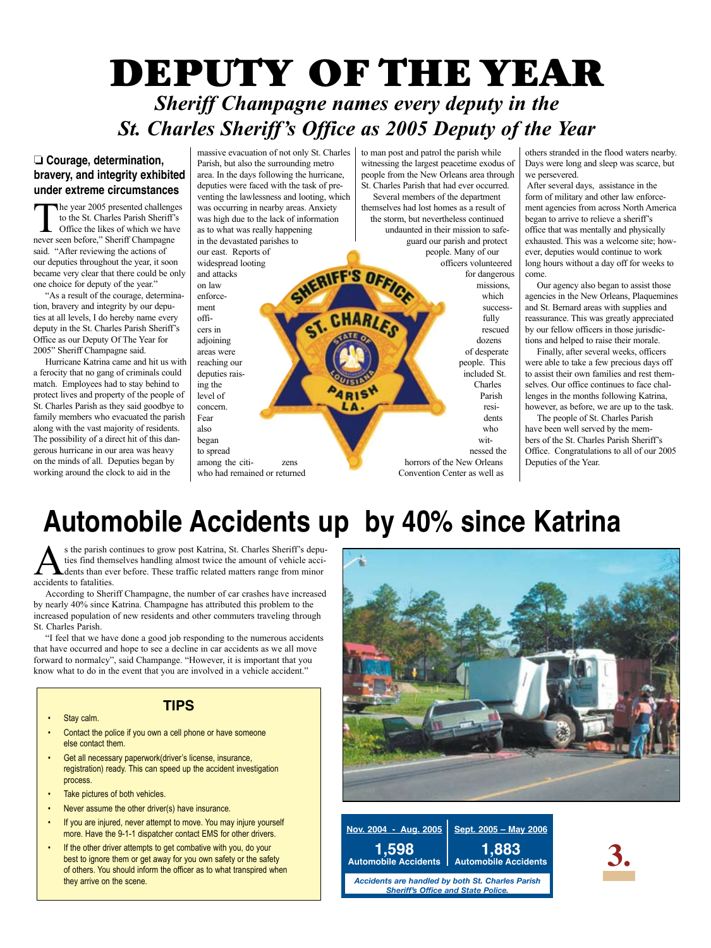## DEPUTY OF THE YEAR *Sheriff Champagne names every deputy in the St. Charles Sheriff's Office as 2005 Deputy of the Year*

#### ❏ **Courage, determination, bravery, and integrity exhibited under extreme circumstances**

The year 2005 presented challenges to the St. Charles Parish Sheriff's Office the likes of which we have never seen before," Sheriff Champagne said. "After reviewing the actions of our deputies throughout the year, it soon became very clear that there could be only one choice for deputy of the year."

"As a result of the courage, determination, bravery and integrity by our deputies at all levels, I do hereby name every deputy in the St. Charles Parish Sheriff's Office as our Deputy Of The Year for 2005" Sheriff Champagne said.

Hurricane Katrina came and hit us with a ferocity that no gang of criminals could match. Employees had to stay behind to protect lives and property of the people of St. Charles Parish as they said goodbye to family members who evacuated the parish along with the vast majority of residents. The possibility of a direct hit of this dangerous hurricane in our area was heavy on the minds of all. Deputies began by working around the clock to aid in the

massive evacuation of not only St. Charles Parish, but also the surrounding metro area. In the days following the hurricane, deputies were faced with the task of preventing the lawlessness and looting, which was occurring in nearby areas. Anxiety was high due to the lack of information as to what was really happening in the devastated parishes to our east. Reports of widespread looting SHERIFF'S OFF and attacks on law enforcement **CHAR** officers in adjoining areas were

reaching our deputies raising the level of concern. Fear also began to spread among the citi- zens who had remained or returned to man post and patrol the parish while witnessing the largest peacetime exodus of people from the New Orleans area through St. Charles Parish that had ever occurred. Several members of the department themselves had lost homes as a result of the storm, but nevertheless continued undaunted in their mission to safeguard our parish and protect people. Many of our officers volunteered for dangerous missions, which successfully rescued dozens of desperate people. This

included St. Charles Parish residents who witnessed the horrors of the New Orleans Convention Center as well as

others stranded in the flood waters nearby. Days were long and sleep was scarce, but we persevered.

 After several days, assistance in the form of military and other law enforcement agencies from across North America began to arrive to relieve a sheriff's office that was mentally and physically exhausted. This was a welcome site; however, deputies would continue to work long hours without a day off for weeks to come.

Our agency also began to assist those agencies in the New Orleans, Plaquemines and St. Bernard areas with supplies and reassurance. This was greatly appreciated by our fellow officers in those jurisdictions and helped to raise their morale.

Finally, after several weeks, officers were able to take a few precious days off to assist their own families and rest themselves. Our office continues to face challenges in the months following Katrina, however, as before, we are up to the task.

The people of St. Charles Parish have been well served by the members of the St. Charles Parish Sheriff's Office. Congratulations to all of our 2005 Deputies of the Year.

## **Automobile Accidents up by 40% since Katrina**

s the parish continues to grow post Katrina, St. Charles Sheriff's deputies find themselves handling almost twice the amount of vehicle acci-**L** dents than ever before. These traffic related matters range from minor accidents to fatalities.

According to Sheriff Champagne, the number of car crashes have increased by nearly 40% since Katrina. Champagne has attributed this problem to the increased population of new residents and other commuters traveling through St. Charles Parish.

"I feel that we have done a good job responding to the numerous accidents that have occurred and hope to see a decline in car accidents as we all move forward to normalcy", said Champange. "However, it is important that you know what to do in the event that you are involved in a vehicle accident."

#### **Tips**

- Stay calm.
- Contact the police if you own a cell phone or have someone else contact them.
- Get all necessary paperwork(driver's license, insurance, registration) ready. This can speed up the accident investigation process.
- Take pictures of both vehicles.
- Never assume the other driver(s) have insurance.
- If you are injured, never attempt to move. You may injure yourself more. Have the 9-1-1 dispatcher contact EMS for other drivers.
- If the other driver attempts to get combative with you, do your best to ignore them or get away for you own safety or the safety of others. You should inform the officer as to what transpired when they arrive on the scene.





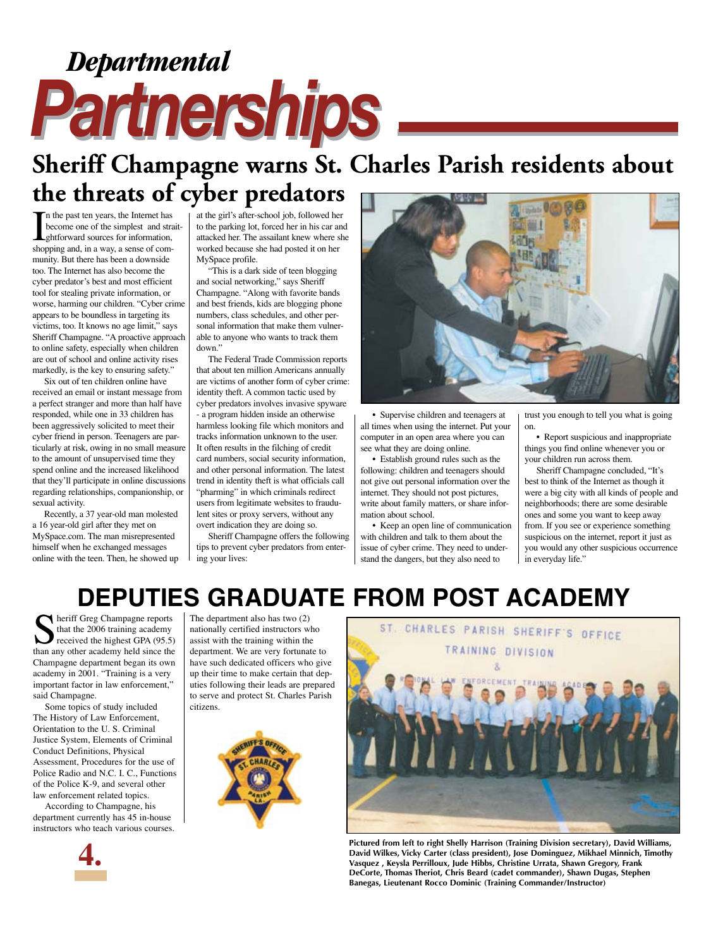## *Partnerships Partnerships Departmental*

## **Sheriff Champagne warns St. Charles Parish residents about the threats of cyber predators**

In the past ten years, the Internet has<br>become one of the simplest and stra<br>ghtforward sources for information,<br>shopping and, in a way, a sense of comn the past ten years, the Internet has become one of the simplest and straitghtforward sources for information, munity. But there has been a downside too. The Internet has also become the cyber predator's best and most efficient tool for stealing private information, or worse, harming our children. "Cyber crime appears to be boundless in targeting its victims, too. It knows no age limit," says Sheriff Champagne. "A proactive approach to online safety, especially when children are out of school and online activity rises markedly, is the key to ensuring safety."

Six out of ten children online have received an email or instant message from a perfect stranger and more than half have responded, while one in 33 children has been aggressively solicited to meet their cyber friend in person. Teenagers are particularly at risk, owing in no small measure to the amount of unsupervised time they spend online and the increased likelihood that they'll participate in online discussions regarding relationships, companionship, or sexual activity.

Recently, a 37 year-old man molested a 16 year-old girl after they met on MySpace.com. The man misrepresented himself when he exchanged messages online with the teen. Then, he showed up at the girl's after-school job, followed her to the parking lot, forced her in his car and attacked her. The assailant knew where she worked because she had posted it on her MySpace profile.

"This is a dark side of teen blogging and social networking," says Sheriff Champagne. "Along with favorite bands and best friends, kids are blogging phone numbers, class schedules, and other personal information that make them vulnerable to anyone who wants to track them down."

The Federal Trade Commission reports that about ten million Americans annually are victims of another form of cyber crime: identity theft. A common tactic used by cyber predators involves invasive spyware - a program hidden inside an otherwise harmless looking file which monitors and tracks information unknown to the user. It often results in the filching of credit card numbers, social security information, and other personal information. The latest trend in identity theft is what officials call "pharming" in which criminals redirect users from legitimate websites to fraudulent sites or proxy servers, without any overt indication they are doing so.

Sheriff Champagne offers the following tips to prevent cyber predators from entering your lives:



• Supervise children and teenagers at all times when using the internet. Put your computer in an open area where you can see what they are doing online.

• Establish ground rules such as the following: children and teenagers should not give out personal information over the internet. They should not post pictures, write about family matters, or share information about school.

• Keep an open line of communication with children and talk to them about the issue of cyber crime. They need to understand the dangers, but they also need to

trust you enough to tell you what is going on.

• Report suspicious and inappropriate things you find online whenever you or your children run across them.

Sheriff Champagne concluded, "It's best to think of the Internet as though it were a big city with all kinds of people and neighborhoods; there are some desirable ones and some you want to keep away from. If you see or experience something suspicious on the internet, report it just as you would any other suspicious occurrence in everyday life."

## **Deputies graduate from Post Academy**

heriff Greg Champagne reports that the 2006 training academy received the highest GPA (95.5) than any other academy held since the Champagne department began its own academy in 2001. "Training is a very important factor in law enforcement," said Champagne.

Some topics of study included The History of Law Enforcement, Orientation to the U. S. Criminal Justice System, Elements of Criminal Conduct Definitions, Physical Assessment, Procedures for the use of Police Radio and N.C. I. C., Functions of the Police K-9, and several other law enforcement related topics.

According to Champagne, his department currently has 45 in-house instructors who teach various courses.



The department also has two (2) nationally certified instructors who assist with the training within the department. We are very fortunate to have such dedicated officers who give up their time to make certain that deputies following their leads are prepared to serve and protect St. Charles Parish citizens.





**Pictured from left to right Shelly Harrison (Training Division secretary), David Williams, David Wilkes, Vicky Carter (class president), Jose Dominguez, Mikhael Minnich, Timothy Vasquez , Keysla Perrilloux, Jude Hibbs, Christine Urrata, Shawn Gregory, Frank DeCorte, Thomas Theriot, Chris Beard (cadet commander), Shawn Dugas, Stephen Banegas, Lieutenant Rocco Dominic (Training Commander/Instructor)**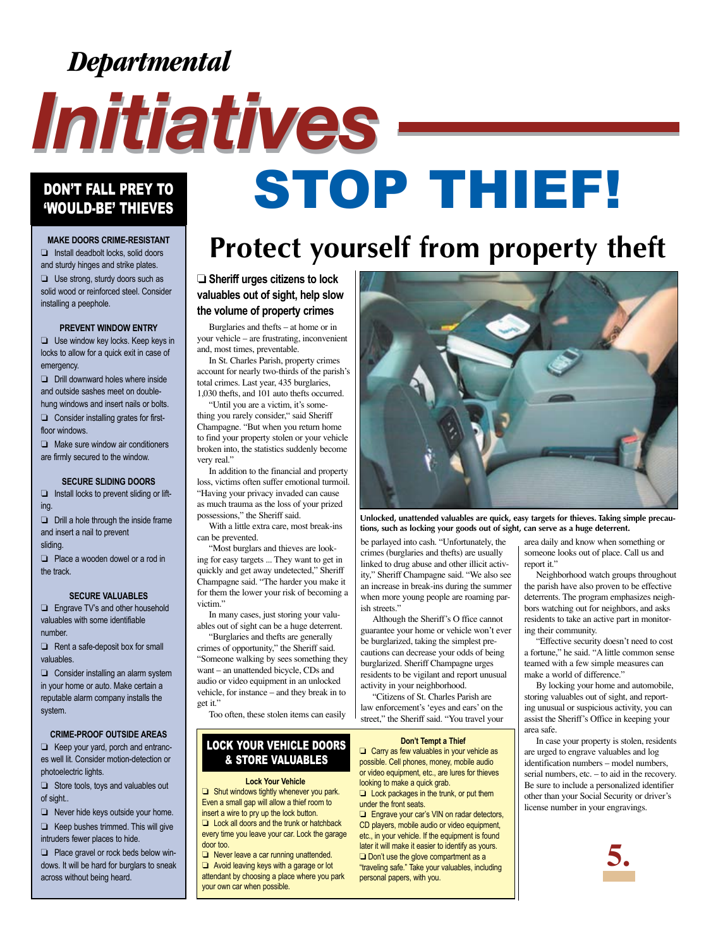## *Departmental*

# *Initiatives Initiatives*

## Don't fall Prey To DON'T FALL PREY TO STOP THEVES

**Make doors Crime-Resistant** ❏ Install deadbolt locks, solid doors and sturdy hinges and strike plates.

❏ Use strong, sturdy doors such as solid wood or reinforced steel. Consider installing a peephole.

#### **Prevent Window Entry**

❏ Use window key locks. Keep keys in locks to allow for a quick exit in case of emergency.

❏ Drill downward holes where inside and outside sashes meet on doublehung windows and insert nails or bolts.

❏ Consider installing grates for firstfloor windows.

❏ Make sure window air conditioners are firmly secured to the window.

#### **Secure Sliding Doors**

❏ Install locks to prevent sliding or lifting.

❏ Drill a hole through the inside frame and insert a nail to prevent

sliding.

❏ Place a wooden dowel or a rod in the track.

#### **Secure Valuables**

❏ Engrave TV's and other household valuables with some identifiable number.

 $\Box$  Rent a safe-deposit box for small valuables.

❏ Consider installing an alarm system in your home or auto. Make certain a reputable alarm company installs the system.

#### **Crime-Proof Outside Areas**

❏ Keep your yard, porch and entrances well lit. Consider motion-detection or photoelectric lights.

❏ Store tools, toys and valuables out of sight..

❏ Never hide keys outside your home. ❏ Keep bushes trimmed. This will give intruders fewer places to hide.

❏ Place gravel or rock beds below windows. It will be hard for burglars to sneak across without being heard.

## **Protect yourself from property theft**

❏ **Sheriff urges citizens to lock valuables out of sight, help slow the volume of property crimes**

Burglaries and thefts – at home or in your vehicle – are frustrating, inconvenient and, most times, preventable.

In St. Charles Parish, property crimes account for nearly two-thirds of the parish's total crimes. Last year, 435 burglaries, 1,030 thefts, and 101 auto thefts occurred.

"Until you are a victim, it's something you rarely consider," said Sheriff Champagne. "But when you return home to find your property stolen or your vehicle broken into, the statistics suddenly become very real."

In addition to the financial and property loss, victims often suffer emotional turmoil. "Having your privacy invaded can cause as much trauma as the loss of your prized possessions," the Sheriff said.

With a little extra care, most break-ins can be prevented.

"Most burglars and thieves are looking for easy targets ... They want to get in quickly and get away undetected," Sheriff Champagne said. "The harder you make it for them the lower your risk of becoming a victim."

In many cases, just storing your valuables out of sight can be a huge deterrent.

"Burglaries and thefts are generally crimes of opportunity," the Sheriff said. "Someone walking by sees something they want – an unattended bicycle, CDs and audio or video equipment in an unlocked vehicle, for instance – and they break in to get it."

Too often, these stolen items can easily

#### LOCK YOUR VEHICLE DOORS & STORE VALUABLES

#### **Lock Your Vehicle**

❏ Shut windows tightly whenever you park. Even a small gap will allow a thief room to insert a wire to pry up the lock button. ❏ Lock all doors and the trunk or hatchback every time you leave your car. Lock the garage door too.

❏ Never leave a car running unattended. ❏ Avoid leaving keys with a garage or lot attendant by choosing a place where you park your own car when possible.



**Unlocked, unattended valuables are quick, easy targets for thieves. Taking simple precautions, such as locking your goods out of sight, can serve as a huge deterrent.**

be parlayed into cash. "Unfortunately, the crimes (burglaries and thefts) are usually linked to drug abuse and other illicit activity," Sheriff Champagne said. "We also see an increase in break-ins during the summer when more young people are roaming parish streets."

Although the Sheriff's O ffice cannot guarantee your home or vehicle won't ever be burglarized, taking the simplest precautions can decrease your odds of being burglarized. Sheriff Champagne urges residents to be vigilant and report unusual activity in your neighborhood.

"Citizens of St. Charles Parish are law enforcement's 'eyes and ears' on the street," the Sheriff said. "You travel your

#### **Don't Tempt a Thief**

❏ Carry as few valuables in your vehicle as possible. Cell phones, money, mobile audio or video equipment, etc., are lures for thieves looking to make a quick grab.

❏ Lock packages in the trunk, or put them under the front seats.

❏ Engrave your car's VIN on radar detectors, CD players, mobile audio or video equipment, etc., in your vehicle. If the equipment is found later it will make it easier to identify as yours. ❏ Don't use the glove compartment as a "traveling safe." Take your valuables, including personal papers, with you.

area daily and know when something or someone looks out of place. Call us and report it."

Neighborhood watch groups throughout the parish have also proven to be effective deterrents. The program emphasizes neighbors watching out for neighbors, and asks residents to take an active part in monitoring their community.

"Effective security doesn't need to cost a fortune," he said. "A little common sense teamed with a few simple measures can make a world of difference."

By locking your home and automobile, storing valuables out of sight, and reporting unusual or suspicious activity, you can assist the Sheriff's Office in keeping your area safe.

In case your property is stolen, residents are urged to engrave valuables and log identification numbers – model numbers, serial numbers, etc. – to aid in the recovery. Be sure to include a personalized identifier other than your Social Security or driver's license number in your engravings.

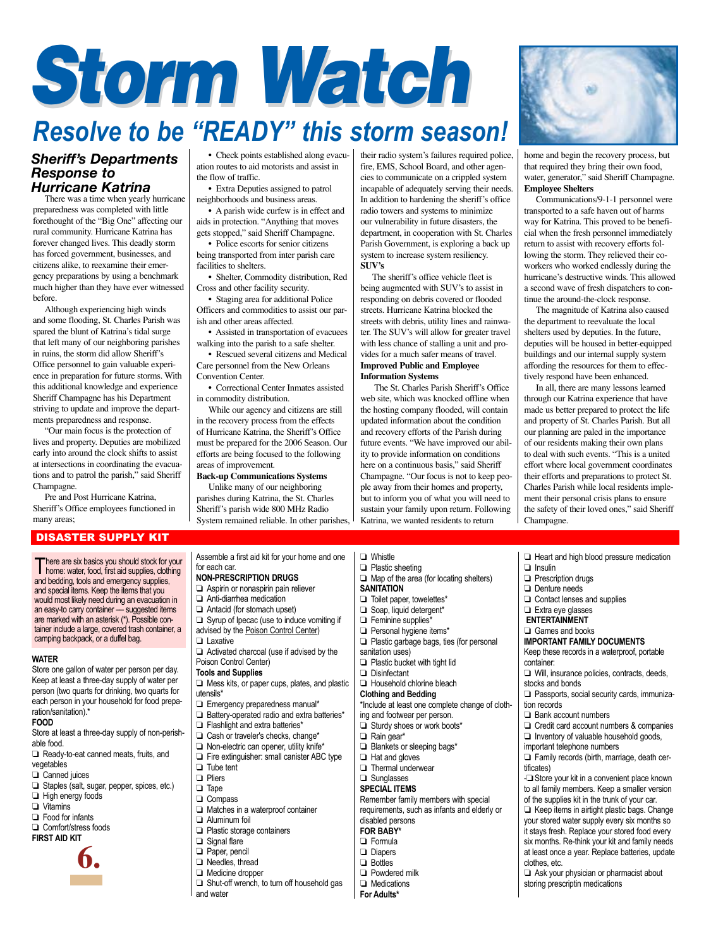## *Storm Watch Storm Watch Resolve to be "Ready" this storm season!*

#### *Sheriff's Departments Response to Hurricane Katrina*

There was a time when yearly hurricane preparedness was completed with little forethought of the "Big One" affecting our rural community. Hurricane Katrina has forever changed lives. This deadly storm has forced government, businesses, and citizens alike, to reexamine their emergency preparations by using a benchmark much higher than they have ever witnessed before.

Although experiencing high winds and some flooding, St. Charles Parish was spared the blunt of Katrina's tidal surge that left many of our neighboring parishes in ruins, the storm did allow Sheriff's Office personnel to gain valuable experience in preparation for future storms. With this additional knowledge and experience Sheriff Champagne has his Department striving to update and improve the departments preparedness and response.

"Our main focus is the protection of lives and property. Deputies are mobilized early into around the clock shifts to assist at intersections in coordinating the evacuations and to patrol the parish," said Sheriff Champagne.

Pre and Post Hurricane Katrina, Sheriff's Office employees functioned in many areas;

#### Disaster Supply Kit

There are six basics you should stock for your home: water, food, first aid supplies, clothing and bedding, tools and emergency supplies, and special items. Keep the items that you would most likely need during an evacuation in an easy-to carry container -- suggested items are marked with an asterisk (\*). Possible container include a large, covered trash container, a camping backpack, or a duffel bag.

#### **Water**

Store one gallon of water per person per day. Keep at least a three-day supply of water per person (two quarts for drinking, two quarts for each person in your household for food preparation/sanitation).\*

#### **Food**

Store at least a three-day supply of non-perishable food.

- ❏ Ready-to-eat canned meats, fruits, and
- vegetables
- ❏ Canned juices
- ❏ Staples (salt, sugar, pepper, spices, etc.)
- ❏ High energy foods
- ❏ Vitamins
- ❏ Food for infants
- ❏ Comfort/stress foods
- **First Aid Kit**



• Check points established along evacuation routes to aid motorists and assist in the flow of traffic.

• Extra Deputies assigned to patrol neighborhoods and business areas.

• A parish wide curfew is in effect and aids in protection. "Anything that moves gets stopped," said Sheriff Champagne.

• Police escorts for senior citizens being transported from inter parish care facilities to shelters.

• Shelter, Commodity distribution, Red Cross and other facility security. • Staging area for additional Police

Officers and commodities to assist our parish and other areas affected.

• Assisted in transportation of evacuees walking into the parish to a safe shelter.

• Rescued several citizens and Medical Care personnel from the New Orleans Convention Center.

• Correctional Center Inmates assisted in commodity distribution.

While our agency and citizens are still in the recovery process from the effects of Hurricane Katrina, the Sheriff's Office must be prepared for the 2006 Season. Our efforts are being focused to the following areas of improvement.

**Back-up Communications Systems** Unlike many of our neighboring parishes during Katrina, the St. Charles Sheriff's parish wide 800 MHz Radio

System remained reliable. In other parishes,

Assemble a first aid kit for your home and one

their radio system's failures required police, fire, EMS, School Board, and other agencies to communicate on a crippled system incapable of adequately serving their needs. In addition to hardening the sheriff's office radio towers and systems to minimize our vulnerability in future disasters, the department, in cooperation with St. Charles Parish Government, is exploring a back up system to increase system resiliency. **SUV's**

The sheriff's office vehicle fleet is being augmented with SUV's to assist in responding on debris covered or flooded streets. Hurricane Katrina blocked the streets with debris, utility lines and rainwater. The SUV's will allow for greater travel with less chance of stalling a unit and provides for a much safer means of travel. **Improved Public and Employee Information Systems**

 The St. Charles Parish Sheriff's Office web site, which was knocked offline when the hosting company flooded, will contain updated information about the condition and recovery efforts of the Parish during future events. "We have improved our ability to provide information on conditions here on a continuous basis," said Sheriff Champagne. "Our focus is not to keep people away from their homes and property, but to inform you of what you will need to sustain your family upon return. Following Katrina, we wanted residents to return



home and begin the recovery process, but that required they bring their own food, water, generator," said Sheriff Champagne. **Employee Shelters**

Communications/9-1-1 personnel were transported to a safe haven out of harms way for Katrina. This proved to be beneficial when the fresh personnel immediately return to assist with recovery efforts following the storm. They relieved their coworkers who worked endlessly during the hurricane's destructive winds. This allowed a second wave of fresh dispatchers to continue the around-the-clock response.

The magnitude of Katrina also caused the department to reevaluate the local shelters used by deputies. In the future, deputies will be housed in better-equipped buildings and our internal supply system affording the resources for them to effectively respond have been enhanced.

In all, there are many lessons learned through our Katrina experience that have made us better prepared to protect the life and property of St. Charles Parish. But all our planning are paled in the importance of our residents making their own plans to deal with such events. "This is a united effort where local government coordinates their efforts and preparations to protect St. Charles Parish while local residents implement their personal crisis plans to ensure the safety of their loved ones," said Sheriff Champagne.

| $\Box$ Whistle                                  | Heart and high blood pressure medication                  |
|-------------------------------------------------|-----------------------------------------------------------|
| $\Box$ Plastic sheeting                         | $\Box$ Insulin                                            |
| $\Box$ Map of the area (for locating shelters)  | $\Box$ Prescription drugs                                 |
| <b>SANITATION</b>                               | $\Box$ Denture needs                                      |
| $\Box$ Toilet paper, towelettes*                | $\Box$ Contact lenses and supplies                        |
| Soap, liquid detergent*                         | $\Box$ Extra eye glasses                                  |
| $\Box$ Feminine supplies*                       | <b>ENTERTAINMENT</b>                                      |
| Personal hygiene items*                         | Games and books                                           |
| $\Box$ Plastic garbage bags, ties (for personal | <b>IMPORTANT FAMILY DOCUMENTS</b>                         |
| sanitation uses)                                | Keep these records in a waterproof, portable              |
| $\Box$ Plastic bucket with tight lid            | container:                                                |
| $\Box$ Disinfectant                             | $\Box$ Will, insurance policies, contracts, deeds,        |
| Household chlorine bleach                       | stocks and bonds                                          |
| <b>Clothing and Bedding</b>                     | $\Box$ Passports, social security cards, immuniza         |
| *Include at least one complete change of cloth- | tion records                                              |
| ing and footwear per person.                    | $\Box$ Bank account numbers                               |
| Sturdy shoes or work boots*                     | Credit card account numbers & companies                   |
| $\Box$ Rain gear*                               | $\Box$ Inventory of valuable household goods,             |
| $\Box$ Blankets or sleeping bags*               | important telephone numbers                               |
| $\Box$ Hat and gloves                           | $\Box$ Family records (birth, marriage, death cer-        |
| $\Box$ Thermal underwear                        | tificates)                                                |
| $\Box$ Sunglasses                               | - <sup>1</sup> Store your kit in a convenient place known |
| <b>SPECIAL ITEMS</b>                            | to all family members. Keep a smaller version             |
| Remember family members with special            | of the supplies kit in the trunk of your car.             |
| requirements, such as infants and elderly or    | $\Box$ Keep items in airtight plastic bags. Change        |
| disabled persons                                | your stored water supply every six months so              |
| <b>FOR BABY*</b>                                | it stays fresh. Replace your stored food every            |
| $\Box$ Formula                                  | six months. Re-think your kit and family needs            |
| $\Box$ Diapers                                  | at least once a year. Replace batteries, updat            |
| $\Box$ Bottles                                  | clothes, etc.                                             |
| $\Box$ Powdered milk                            | $\Box$ Ask your physician or pharmacist about             |
| $\Box$ Medications                              | storing prescriptin medications                           |
| For Adults*                                     |                                                           |
|                                                 |                                                           |
|                                                 |                                                           |
|                                                 |                                                           |

- 
- **IMENTS**

- ontracts, deeds,
- 
- cards, immuniza-
- oers & companies
- sehold goods,
- 
- riage, death cer-

- **Non-Prescription Drugs □** Aspirin or nonaspirin pain reliever ❏ Anti-diarrhea medication ❏ Antacid (for stomach upset) ❏ Syrup of Ipecac (use to induce vomiting if advised by the Poison Control Center) ❏ Laxative
- Poison Control Center)
- $\Box$  Mess kits, or paper cups, plates, and plastic
- ❏ Emergency preparedness manual\*
- ❏ Battery-operated radio and extra batteries\*
- ❏ Flashlight and extra batteries\*
- 
- 
- ❏ Tube tent
- ❏ Pliers
- ❏ Tape
- ❏ Compass
- ❏ Matches in a waterproof container
- ❏ Aluminum foil
- ❏ Plastic storage containers
- ❏ Signal flare
- ❏ Paper, pencil
- 
- ❏ Medicine dropper
- and water

 $\Box$  Activated charcoal (use if advised by the **Tools and Supplies**

- utensils\*
- 
- 
- ❏ Cash or traveler's checks, change\*
- ❏ Non-electric can opener, utility knife\*
- ❏ Fire extinguisher: small canister ABC type
- 

for each car.

- 
- 
- 
- 
- 
- 
- 
- 
- ❏ Needles, thread
	-
- ❏ Shut-off wrench, to turn off household gas

 $\Box$  Toilet paper, □ Soap, liquid □ Feminine su □ Personal hyg □ Plastic garba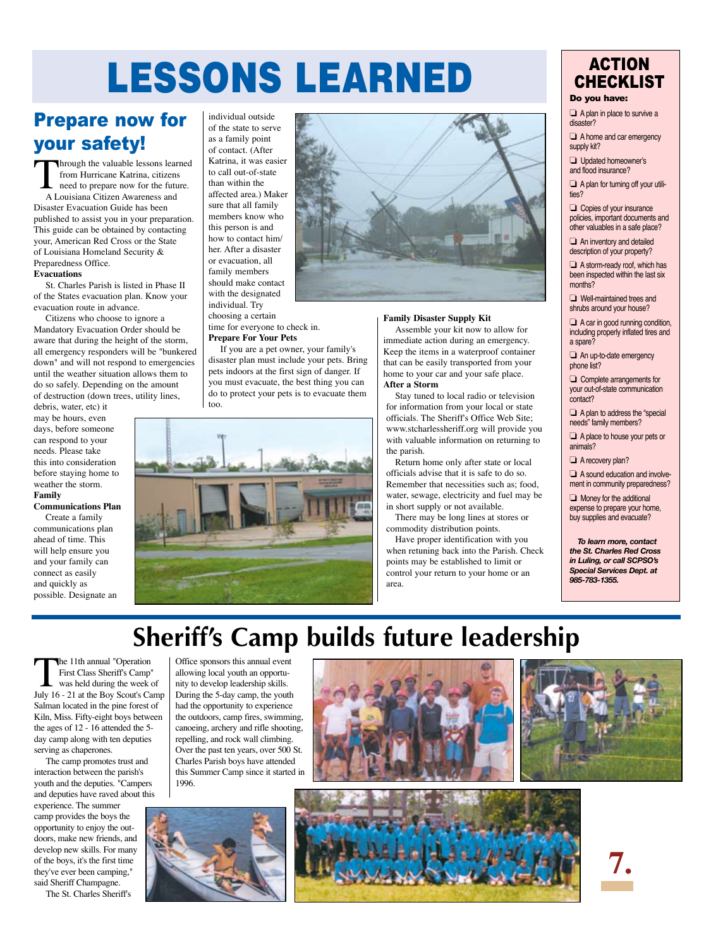## Lessons Learned

### Prepare now for your safety!

Through the valuable lessons learned from Hurricane Katrina, citizens need to prepare now for the future. A Louisiana Citizen Awareness and Disaster Evacuation Guide has been published to assist you in your preparation. This guide can be obtained by contacting your, American Red Cross or the State of Louisiana Homeland Security & Preparedness Office. **Evacuations**

#### St. Charles Parish is listed in Phase II of the States evacuation plan. Know your evacuation route in advance.

Citizens who choose to ignore a Mandatory Evacuation Order should be aware that during the height of the storm, all emergency responders will be "bunkered down" and will not respond to emergencies until the weather situation allows them to do so safely. Depending on the amount of destruction (down trees, utility lines,

debris, water, etc) it may be hours, even days, before someone can respond to your needs. Please take this into consideration before staying home to weather the storm. **Family** 

#### **Communications Plan**

Create a family communications plan ahead of time. This will help ensure you and your family can connect as easily and quickly as possible. Designate an individual outside of the state to serve as a family point of contact. (After Katrina, it was easier to call out-of-state than within the affected area.) Maker sure that all family members know who this person is and how to contact him/ her. After a disaster or evacuation, all family members should make contact with the designated

individual. Try

choosing a certain time for everyone to check in. **Prepare For Your Pets**

If you are a pet owner, your family's disaster plan must include your pets. Bring pets indoors at the first sign of danger. If you must evacuate, the best thing you can do to protect your pets is to evacuate them too.





#### **Family Disaster Supply Kit**

Assemble your kit now to allow for immediate action during an emergency. Keep the items in a waterproof container that can be easily transported from your home to your car and your safe place. **After a Storm** 

Stay tuned to local radio or television for information from your local or state officials. The Sheriff's Office Web Site; www.stcharlessheriff.org will provide you with valuable information on returning to the parish.

Return home only after state or local officials advise that it is safe to do so. Remember that necessities such as; food, water, sewage, electricity and fuel may be in short supply or not available.

There may be long lines at stores or commodity distribution points.

Have proper identification with you when retuning back into the Parish. Check points may be established to limit or control your return to your home or an area.

#### **ACTION CHECKLIST**

#### Do you have:

❏ A plan in place to survive a disaster?

❏ A home and car emergency supply kit?

❏ Updated homeowner's and flood insurance?

❏ A plan for turning off your utilities?

❏ Copies of your insurance policies, important documents and other valuables in a safe place?

❏ An inventory and detailed description of your property?

❏ A storm-ready roof, which has been inspected within the last six months?

❏ Well-maintained trees and shrubs around your house?

❏ A car in good running condition, including properly inflated tires and a spare?

❏ An up-to-date emergency phone list?

❏ Complete arrangements for your out-of-state communication contact?

❏ A plan to address the "special needs" family members?

❏ A place to house your pets or animals?

❏ A recovery plan?

❏ A sound education and involvement in community preparedness?

❏ Money for the additional expense to prepare your home, buy supplies and evacuate?

*To learn more, contact the St. Charles Red Cross in Luling, or call SCPSO's Special Services Dept. at 985-783-1355.*

## **Sheriff's Camp builds future leadership**

The 11th annual "Operation First Class Sheriff's Camp" was held during the week of July 16 - 21 at the Boy Scout's Camp Salman located in the pine forest of Kiln, Miss. Fifty-eight boys between the ages of 12 - 16 attended the 5 day camp along with ten deputies serving as chaperones.

The camp promotes trust and interaction between the parish's youth and the deputies. "Campers and deputies have raved about this

experience. The summer camp provides the boys the opportunity to enjoy the outdoors, make new friends, and develop new skills. For many of the boys, it's the first time they've ever been camping," said Sheriff Champagne.

The St. Charles Sheriff's

Office sponsors this annual event allowing local youth an opportunity to develop leadership skills. During the 5-day camp, the youth had the opportunity to experience the outdoors, camp fires, swimming, canoeing, archery and rifle shooting, repelling, and rock wall climbing. Over the past ten years, over 500 St. Charles Parish boys have attended this Summer Camp since it started in 1996.